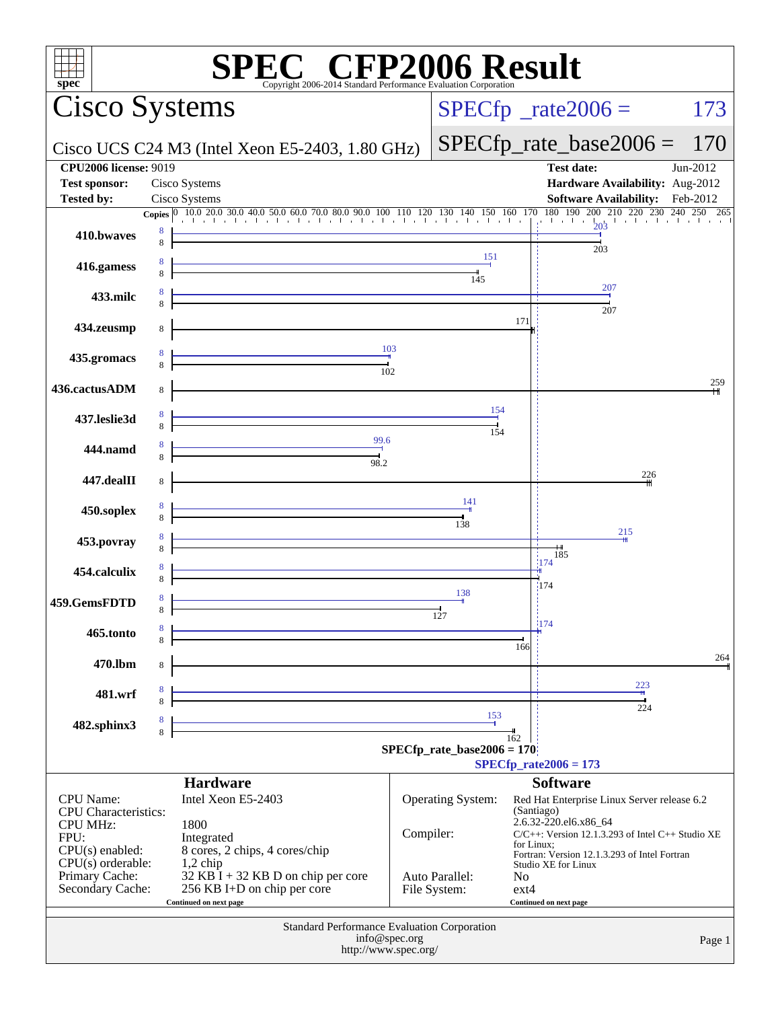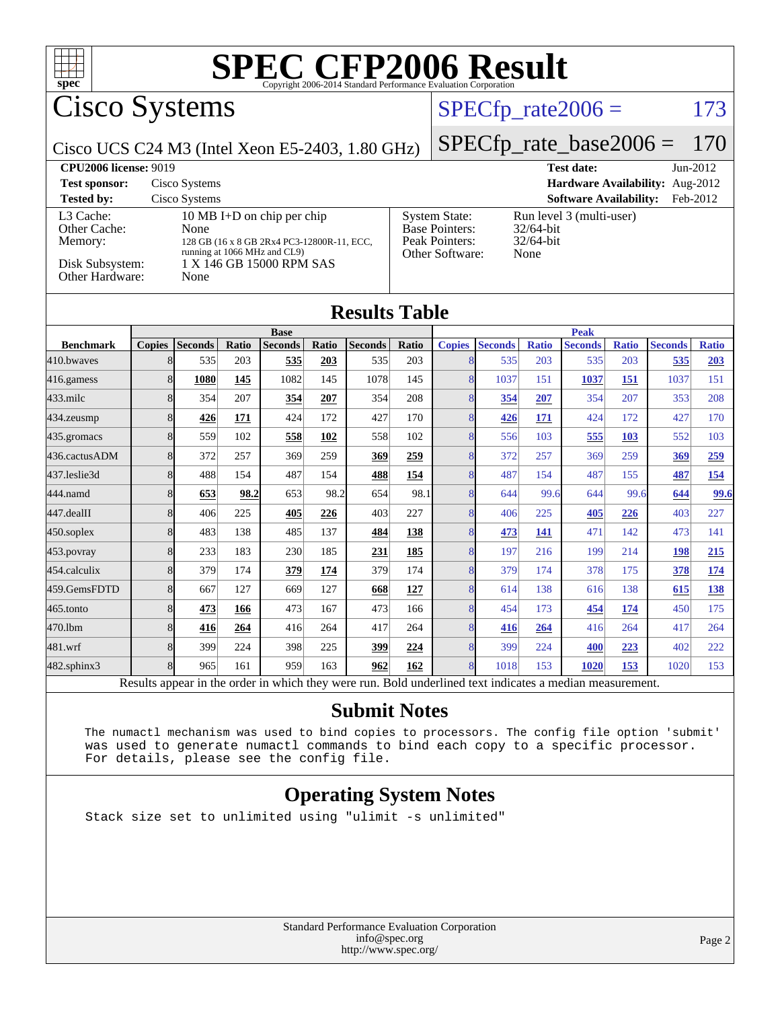

### **[Submit Notes](http://www.spec.org/auto/cpu2006/Docs/result-fields.html#SubmitNotes)**

[481.wrf](http://www.spec.org/auto/cpu2006/Docs/481.wrf.html) 8 399 224 398 225 **[399](http://www.spec.org/auto/cpu2006/Docs/result-fields.html#Median) [224](http://www.spec.org/auto/cpu2006/Docs/result-fields.html#Median)** 8 399 224 **[400](http://www.spec.org/auto/cpu2006/Docs/result-fields.html#Median) [223](http://www.spec.org/auto/cpu2006/Docs/result-fields.html#Median)** 402 222 [482.sphinx3](http://www.spec.org/auto/cpu2006/Docs/482.sphinx3.html) 8 965 161 959 163 **[962](http://www.spec.org/auto/cpu2006/Docs/result-fields.html#Median) [162](http://www.spec.org/auto/cpu2006/Docs/result-fields.html#Median)** 8 1018 153 **[1020](http://www.spec.org/auto/cpu2006/Docs/result-fields.html#Median) [153](http://www.spec.org/auto/cpu2006/Docs/result-fields.html#Median)** 1020 153 Results appear in the [order in which they were run.](http://www.spec.org/auto/cpu2006/Docs/result-fields.html#RunOrder) Bold underlined text [indicates a median measurement.](http://www.spec.org/auto/cpu2006/Docs/result-fields.html#Median)

 The numactl mechanism was used to bind copies to processors. The config file option 'submit' was used to generate numactl commands to bind each copy to a specific processor. For details, please see the config file.

#### **[Operating System Notes](http://www.spec.org/auto/cpu2006/Docs/result-fields.html#OperatingSystemNotes)**

Stack size set to unlimited using "ulimit -s unlimited"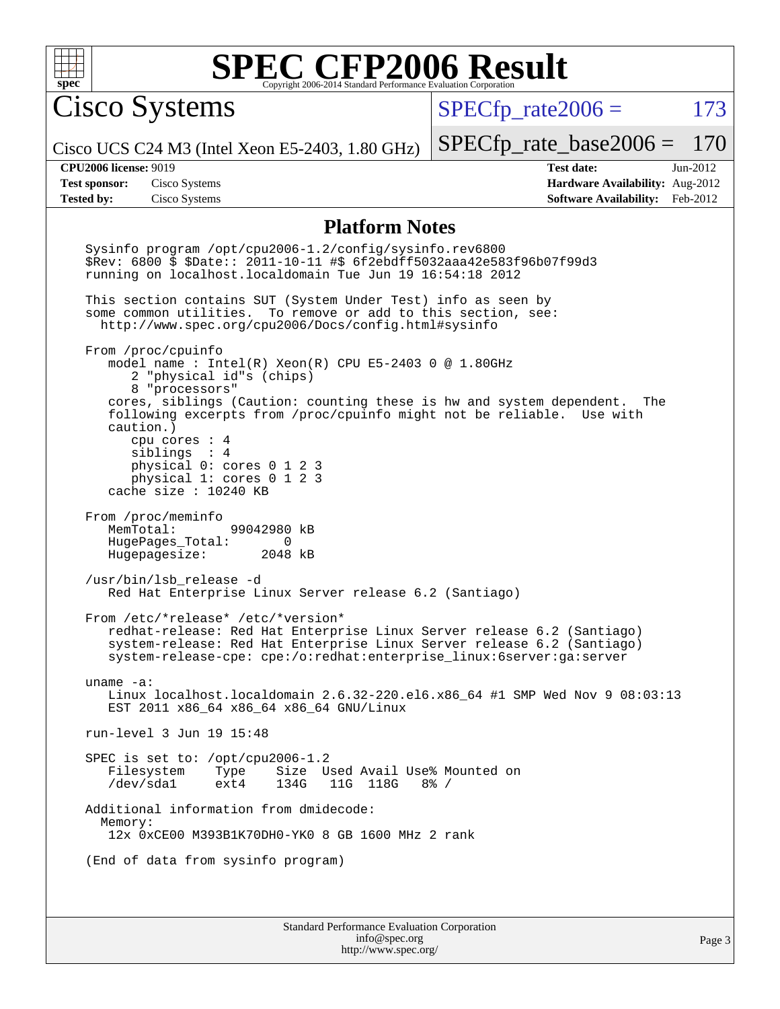

Cisco Systems

 $SPECTp\_rate2006 = 173$ 

Cisco UCS C24 M3 (Intel Xeon E5-2403, 1.80 GHz)

[SPECfp\\_rate\\_base2006 =](http://www.spec.org/auto/cpu2006/Docs/result-fields.html#SPECfpratebase2006) 170

**[Tested by:](http://www.spec.org/auto/cpu2006/Docs/result-fields.html#Testedby)** Cisco Systems **[Software Availability:](http://www.spec.org/auto/cpu2006/Docs/result-fields.html#SoftwareAvailability)** Feb-2012

**[CPU2006 license:](http://www.spec.org/auto/cpu2006/Docs/result-fields.html#CPU2006license)** 9019 **[Test date:](http://www.spec.org/auto/cpu2006/Docs/result-fields.html#Testdate)** Jun-2012 **[Test sponsor:](http://www.spec.org/auto/cpu2006/Docs/result-fields.html#Testsponsor)** Cisco Systems **[Hardware Availability:](http://www.spec.org/auto/cpu2006/Docs/result-fields.html#HardwareAvailability)** Aug-2012

#### **[Platform Notes](http://www.spec.org/auto/cpu2006/Docs/result-fields.html#PlatformNotes)**

Standard Performance Evaluation Corporation [info@spec.org](mailto:info@spec.org) Sysinfo program /opt/cpu2006-1.2/config/sysinfo.rev6800 \$Rev: 6800 \$ \$Date:: 2011-10-11 #\$ 6f2ebdff5032aaa42e583f96b07f99d3 running on localhost.localdomain Tue Jun 19 16:54:18 2012 This section contains SUT (System Under Test) info as seen by some common utilities. To remove or add to this section, see: <http://www.spec.org/cpu2006/Docs/config.html#sysinfo> From /proc/cpuinfo model name : Intel(R) Xeon(R) CPU E5-2403 0 @ 1.80GHz 2 "physical id"s (chips) 8 "processors" cores, siblings (Caution: counting these is hw and system dependent. The following excerpts from /proc/cpuinfo might not be reliable. Use with caution.) cpu cores : 4 siblings : 4 physical 0: cores 0 1 2 3 physical 1: cores 0 1 2 3 cache size : 10240 KB From /proc/meminfo<br>MemTotal: 99042980 kB HugePages\_Total: 0<br>Hugepagesize: 2048 kB Hugepagesize: /usr/bin/lsb\_release -d Red Hat Enterprise Linux Server release 6.2 (Santiago) From /etc/\*release\* /etc/\*version\* redhat-release: Red Hat Enterprise Linux Server release 6.2 (Santiago) system-release: Red Hat Enterprise Linux Server release 6.2 (Santiago) system-release-cpe: cpe:/o:redhat:enterprise\_linux:6server:ga:server uname -a: Linux localhost.localdomain 2.6.32-220.el6.x86\_64 #1 SMP Wed Nov 9 08:03:13 EST 2011 x86\_64 x86\_64 x86\_64 GNU/Linux run-level 3 Jun 19 15:48 SPEC is set to: /opt/cpu2006-1.2 Filesystem Type Size Used Avail Use% Mounted on<br>
/dev/sda1 ext4 134G 11G 118G 8% / ext4 134G 11G 118G Additional information from dmidecode: Memory: 12x 0xCE00 M393B1K70DH0-YK0 8 GB 1600 MHz 2 rank (End of data from sysinfo program)

<http://www.spec.org/>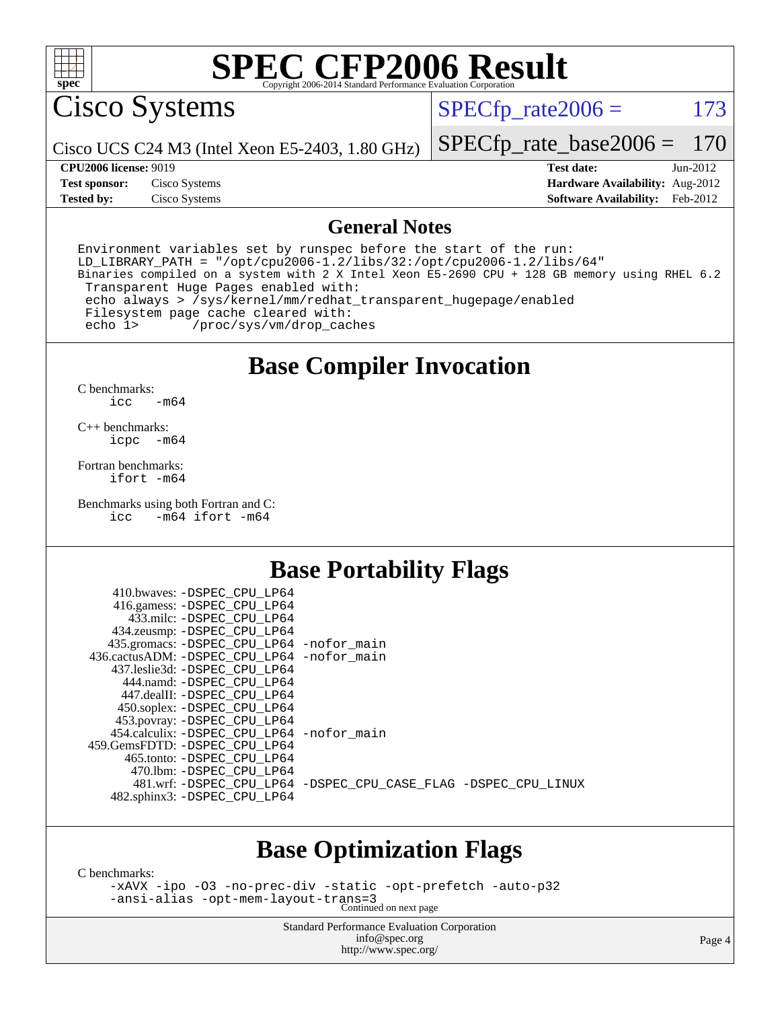

Cisco Systems

 $SPECTp\_rate2006 = 173$ 

Cisco UCS C24 M3 (Intel Xeon E5-2403, 1.80 GHz)

[SPECfp\\_rate\\_base2006 =](http://www.spec.org/auto/cpu2006/Docs/result-fields.html#SPECfpratebase2006) 170

**[Test sponsor:](http://www.spec.org/auto/cpu2006/Docs/result-fields.html#Testsponsor)** Cisco Systems **[Hardware Availability:](http://www.spec.org/auto/cpu2006/Docs/result-fields.html#HardwareAvailability)** Aug-2012

**[CPU2006 license:](http://www.spec.org/auto/cpu2006/Docs/result-fields.html#CPU2006license)** 9019 **[Test date:](http://www.spec.org/auto/cpu2006/Docs/result-fields.html#Testdate)** Jun-2012 **[Tested by:](http://www.spec.org/auto/cpu2006/Docs/result-fields.html#Testedby)** Cisco Systems **[Software Availability:](http://www.spec.org/auto/cpu2006/Docs/result-fields.html#SoftwareAvailability)** Feb-2012

#### **[General Notes](http://www.spec.org/auto/cpu2006/Docs/result-fields.html#GeneralNotes)**

Environment variables set by runspec before the start of the run:  $LD_LIBRARY_PATH = "/opt/cpu2006-1.2/libs/32:/opt/cpu2006-1.2/libs/64"$ Binaries compiled on a system with 2 X Intel Xeon E5-2690 CPU + 128 GB memory using RHEL 6.2 Transparent Huge Pages enabled with: echo always > /sys/kernel/mm/redhat\_transparent\_hugepage/enabled Filesystem page cache cleared with: echo 1> /proc/sys/vm/drop\_caches

### **[Base Compiler Invocation](http://www.spec.org/auto/cpu2006/Docs/result-fields.html#BaseCompilerInvocation)**

[C benchmarks](http://www.spec.org/auto/cpu2006/Docs/result-fields.html#Cbenchmarks): [icc -m64](http://www.spec.org/cpu2006/results/res2012q3/cpu2006-20120702-23330.flags.html#user_CCbase_intel_icc_64bit_0b7121f5ab7cfabee23d88897260401c)

[C++ benchmarks:](http://www.spec.org/auto/cpu2006/Docs/result-fields.html#CXXbenchmarks) [icpc -m64](http://www.spec.org/cpu2006/results/res2012q3/cpu2006-20120702-23330.flags.html#user_CXXbase_intel_icpc_64bit_bedb90c1146cab66620883ef4f41a67e)

[Fortran benchmarks](http://www.spec.org/auto/cpu2006/Docs/result-fields.html#Fortranbenchmarks): [ifort -m64](http://www.spec.org/cpu2006/results/res2012q3/cpu2006-20120702-23330.flags.html#user_FCbase_intel_ifort_64bit_ee9d0fb25645d0210d97eb0527dcc06e)

[Benchmarks using both Fortran and C](http://www.spec.org/auto/cpu2006/Docs/result-fields.html#BenchmarksusingbothFortranandC): [icc -m64](http://www.spec.org/cpu2006/results/res2012q3/cpu2006-20120702-23330.flags.html#user_CC_FCbase_intel_icc_64bit_0b7121f5ab7cfabee23d88897260401c) [ifort -m64](http://www.spec.org/cpu2006/results/res2012q3/cpu2006-20120702-23330.flags.html#user_CC_FCbase_intel_ifort_64bit_ee9d0fb25645d0210d97eb0527dcc06e)

 $4101$ ,  $\sqrt{p}$ 

#### **[Base Portability Flags](http://www.spec.org/auto/cpu2006/Docs/result-fields.html#BasePortabilityFlags)**

| 410.0Waves: -DSPEC CPU LP04                 |                                                                |
|---------------------------------------------|----------------------------------------------------------------|
| 416.gamess: -DSPEC_CPU_LP64                 |                                                                |
| 433.milc: -DSPEC CPU LP64                   |                                                                |
| 434.zeusmp: -DSPEC_CPU_LP64                 |                                                                |
| 435.gromacs: -DSPEC_CPU_LP64 -nofor_main    |                                                                |
| 436.cactusADM: -DSPEC CPU LP64 -nofor main  |                                                                |
| 437.leslie3d: -DSPEC CPU LP64               |                                                                |
| 444.namd: -DSPEC CPU LP64                   |                                                                |
| 447.dealII: -DSPEC CPU LP64                 |                                                                |
| 450.soplex: -DSPEC_CPU_LP64                 |                                                                |
| 453.povray: -DSPEC_CPU_LP64                 |                                                                |
| 454.calculix: - DSPEC CPU LP64 - nofor main |                                                                |
| 459.GemsFDTD: -DSPEC CPU LP64               |                                                                |
| 465.tonto: - DSPEC CPU LP64                 |                                                                |
| 470.1bm: - DSPEC CPU LP64                   |                                                                |
|                                             | 481.wrf: -DSPEC CPU_LP64 -DSPEC_CPU_CASE_FLAG -DSPEC_CPU_LINUX |
| 482.sphinx3: -DSPEC_CPU_LP64                |                                                                |
|                                             |                                                                |

### **[Base Optimization Flags](http://www.spec.org/auto/cpu2006/Docs/result-fields.html#BaseOptimizationFlags)**

[C benchmarks](http://www.spec.org/auto/cpu2006/Docs/result-fields.html#Cbenchmarks):

[-xAVX](http://www.spec.org/cpu2006/results/res2012q3/cpu2006-20120702-23330.flags.html#user_CCbase_f-xAVX) [-ipo](http://www.spec.org/cpu2006/results/res2012q3/cpu2006-20120702-23330.flags.html#user_CCbase_f-ipo) [-O3](http://www.spec.org/cpu2006/results/res2012q3/cpu2006-20120702-23330.flags.html#user_CCbase_f-O3) [-no-prec-div](http://www.spec.org/cpu2006/results/res2012q3/cpu2006-20120702-23330.flags.html#user_CCbase_f-no-prec-div) [-static](http://www.spec.org/cpu2006/results/res2012q3/cpu2006-20120702-23330.flags.html#user_CCbase_f-static) [-opt-prefetch](http://www.spec.org/cpu2006/results/res2012q3/cpu2006-20120702-23330.flags.html#user_CCbase_f-opt-prefetch) [-auto-p32](http://www.spec.org/cpu2006/results/res2012q3/cpu2006-20120702-23330.flags.html#user_CCbase_f-auto-p32) [-ansi-alias](http://www.spec.org/cpu2006/results/res2012q3/cpu2006-20120702-23330.flags.html#user_CCbase_f-ansi-alias) [-opt-mem-layout-trans=3](http://www.spec.org/cpu2006/results/res2012q3/cpu2006-20120702-23330.flags.html#user_CCbase_f-opt-mem-layout-trans_a7b82ad4bd7abf52556d4961a2ae94d5) Continued on next page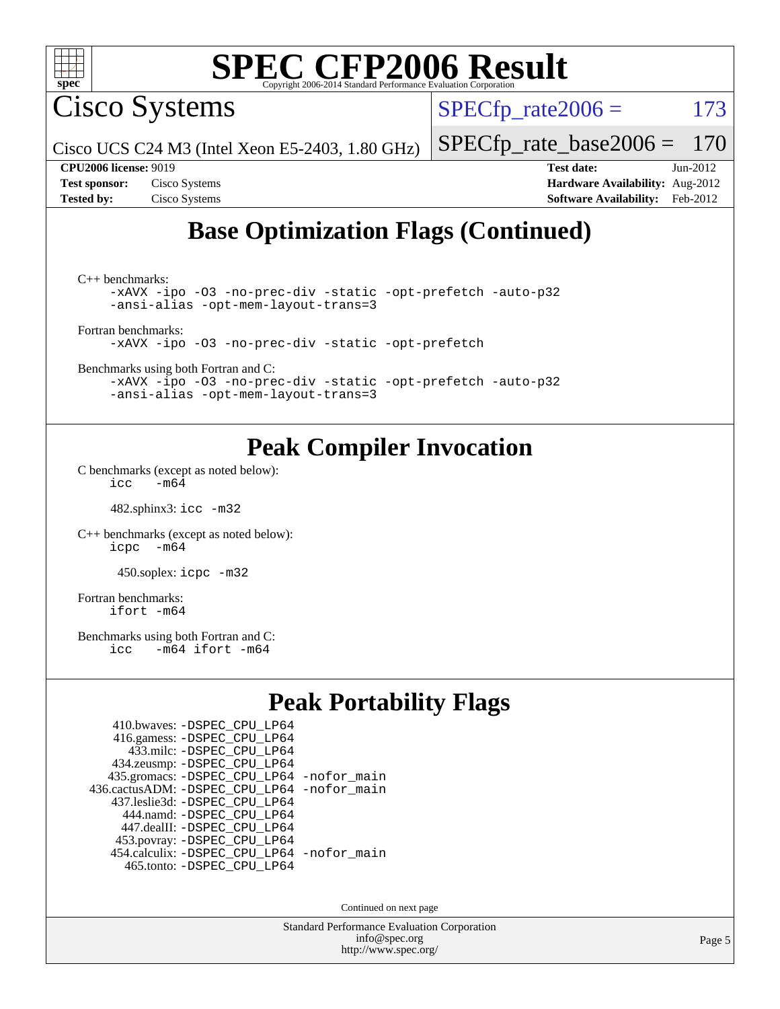

Cisco Systems

 $SPECTp\_rate2006 = 173$ 

[SPECfp\\_rate\\_base2006 =](http://www.spec.org/auto/cpu2006/Docs/result-fields.html#SPECfpratebase2006) 170

Cisco UCS C24 M3 (Intel Xeon E5-2403, 1.80 GHz)

**[CPU2006 license:](http://www.spec.org/auto/cpu2006/Docs/result-fields.html#CPU2006license)** 9019 **[Test date:](http://www.spec.org/auto/cpu2006/Docs/result-fields.html#Testdate)** Jun-2012 **[Test sponsor:](http://www.spec.org/auto/cpu2006/Docs/result-fields.html#Testsponsor)** Cisco Systems **[Hardware Availability:](http://www.spec.org/auto/cpu2006/Docs/result-fields.html#HardwareAvailability)** Aug-2012 **[Tested by:](http://www.spec.org/auto/cpu2006/Docs/result-fields.html#Testedby)** Cisco Systems **[Software Availability:](http://www.spec.org/auto/cpu2006/Docs/result-fields.html#SoftwareAvailability)** Feb-2012

### **[Base Optimization Flags \(Continued\)](http://www.spec.org/auto/cpu2006/Docs/result-fields.html#BaseOptimizationFlags)**

[C++ benchmarks:](http://www.spec.org/auto/cpu2006/Docs/result-fields.html#CXXbenchmarks) [-xAVX](http://www.spec.org/cpu2006/results/res2012q3/cpu2006-20120702-23330.flags.html#user_CXXbase_f-xAVX) [-ipo](http://www.spec.org/cpu2006/results/res2012q3/cpu2006-20120702-23330.flags.html#user_CXXbase_f-ipo) [-O3](http://www.spec.org/cpu2006/results/res2012q3/cpu2006-20120702-23330.flags.html#user_CXXbase_f-O3) [-no-prec-div](http://www.spec.org/cpu2006/results/res2012q3/cpu2006-20120702-23330.flags.html#user_CXXbase_f-no-prec-div) [-static](http://www.spec.org/cpu2006/results/res2012q3/cpu2006-20120702-23330.flags.html#user_CXXbase_f-static) [-opt-prefetch](http://www.spec.org/cpu2006/results/res2012q3/cpu2006-20120702-23330.flags.html#user_CXXbase_f-opt-prefetch) [-auto-p32](http://www.spec.org/cpu2006/results/res2012q3/cpu2006-20120702-23330.flags.html#user_CXXbase_f-auto-p32) [-ansi-alias](http://www.spec.org/cpu2006/results/res2012q3/cpu2006-20120702-23330.flags.html#user_CXXbase_f-ansi-alias) [-opt-mem-layout-trans=3](http://www.spec.org/cpu2006/results/res2012q3/cpu2006-20120702-23330.flags.html#user_CXXbase_f-opt-mem-layout-trans_a7b82ad4bd7abf52556d4961a2ae94d5) [Fortran benchmarks](http://www.spec.org/auto/cpu2006/Docs/result-fields.html#Fortranbenchmarks): [-xAVX](http://www.spec.org/cpu2006/results/res2012q3/cpu2006-20120702-23330.flags.html#user_FCbase_f-xAVX) [-ipo](http://www.spec.org/cpu2006/results/res2012q3/cpu2006-20120702-23330.flags.html#user_FCbase_f-ipo) [-O3](http://www.spec.org/cpu2006/results/res2012q3/cpu2006-20120702-23330.flags.html#user_FCbase_f-O3) [-no-prec-div](http://www.spec.org/cpu2006/results/res2012q3/cpu2006-20120702-23330.flags.html#user_FCbase_f-no-prec-div) [-static](http://www.spec.org/cpu2006/results/res2012q3/cpu2006-20120702-23330.flags.html#user_FCbase_f-static) [-opt-prefetch](http://www.spec.org/cpu2006/results/res2012q3/cpu2006-20120702-23330.flags.html#user_FCbase_f-opt-prefetch)

[Benchmarks using both Fortran and C](http://www.spec.org/auto/cpu2006/Docs/result-fields.html#BenchmarksusingbothFortranandC):

[-xAVX](http://www.spec.org/cpu2006/results/res2012q3/cpu2006-20120702-23330.flags.html#user_CC_FCbase_f-xAVX) [-ipo](http://www.spec.org/cpu2006/results/res2012q3/cpu2006-20120702-23330.flags.html#user_CC_FCbase_f-ipo) [-O3](http://www.spec.org/cpu2006/results/res2012q3/cpu2006-20120702-23330.flags.html#user_CC_FCbase_f-O3) [-no-prec-div](http://www.spec.org/cpu2006/results/res2012q3/cpu2006-20120702-23330.flags.html#user_CC_FCbase_f-no-prec-div) [-static](http://www.spec.org/cpu2006/results/res2012q3/cpu2006-20120702-23330.flags.html#user_CC_FCbase_f-static) [-opt-prefetch](http://www.spec.org/cpu2006/results/res2012q3/cpu2006-20120702-23330.flags.html#user_CC_FCbase_f-opt-prefetch) [-auto-p32](http://www.spec.org/cpu2006/results/res2012q3/cpu2006-20120702-23330.flags.html#user_CC_FCbase_f-auto-p32) [-ansi-alias](http://www.spec.org/cpu2006/results/res2012q3/cpu2006-20120702-23330.flags.html#user_CC_FCbase_f-ansi-alias) [-opt-mem-layout-trans=3](http://www.spec.org/cpu2006/results/res2012q3/cpu2006-20120702-23330.flags.html#user_CC_FCbase_f-opt-mem-layout-trans_a7b82ad4bd7abf52556d4961a2ae94d5)

### **[Peak Compiler Invocation](http://www.spec.org/auto/cpu2006/Docs/result-fields.html#PeakCompilerInvocation)**

[C benchmarks \(except as noted below\)](http://www.spec.org/auto/cpu2006/Docs/result-fields.html#Cbenchmarksexceptasnotedbelow):  $\text{icc}$  -m64

482.sphinx3: [icc -m32](http://www.spec.org/cpu2006/results/res2012q3/cpu2006-20120702-23330.flags.html#user_peakCCLD482_sphinx3_intel_icc_a6a621f8d50482236b970c6ac5f55f93)

[C++ benchmarks \(except as noted below\):](http://www.spec.org/auto/cpu2006/Docs/result-fields.html#CXXbenchmarksexceptasnotedbelow) [icpc -m64](http://www.spec.org/cpu2006/results/res2012q3/cpu2006-20120702-23330.flags.html#user_CXXpeak_intel_icpc_64bit_bedb90c1146cab66620883ef4f41a67e)

450.soplex: [icpc -m32](http://www.spec.org/cpu2006/results/res2012q3/cpu2006-20120702-23330.flags.html#user_peakCXXLD450_soplex_intel_icpc_4e5a5ef1a53fd332b3c49e69c3330699)

[Fortran benchmarks](http://www.spec.org/auto/cpu2006/Docs/result-fields.html#Fortranbenchmarks): [ifort -m64](http://www.spec.org/cpu2006/results/res2012q3/cpu2006-20120702-23330.flags.html#user_FCpeak_intel_ifort_64bit_ee9d0fb25645d0210d97eb0527dcc06e)

[Benchmarks using both Fortran and C](http://www.spec.org/auto/cpu2006/Docs/result-fields.html#BenchmarksusingbothFortranandC):<br>icc -m64 ifort -m64  $-m64$  ifort  $-m64$ 

### **[Peak Portability Flags](http://www.spec.org/auto/cpu2006/Docs/result-fields.html#PeakPortabilityFlags)**

| 410.bwaves: - DSPEC_CPU_LP64                |  |
|---------------------------------------------|--|
| 416.gamess: -DSPEC_CPU_LP64                 |  |
| 433.milc: - DSPEC_CPU LP64                  |  |
| 434.zeusmp: - DSPEC_CPU_LP64                |  |
| 435.gromacs: -DSPEC_CPU_LP64 -nofor_main    |  |
| 436.cactusADM: -DSPEC CPU LP64 -nofor main  |  |
| 437.leslie3d: -DSPEC CPU LP64               |  |
| 444.namd: - DSPEC CPU LP64                  |  |
| 447.dealII: -DSPEC CPU LP64                 |  |
| 453.povray: -DSPEC_CPU_LP64                 |  |
| 454.calculix: - DSPEC CPU LP64 - nofor main |  |
| 465.tonto: - DSPEC CPU LP64                 |  |

Continued on next page

Standard Performance Evaluation Corporation [info@spec.org](mailto:info@spec.org) <http://www.spec.org/>

Page 5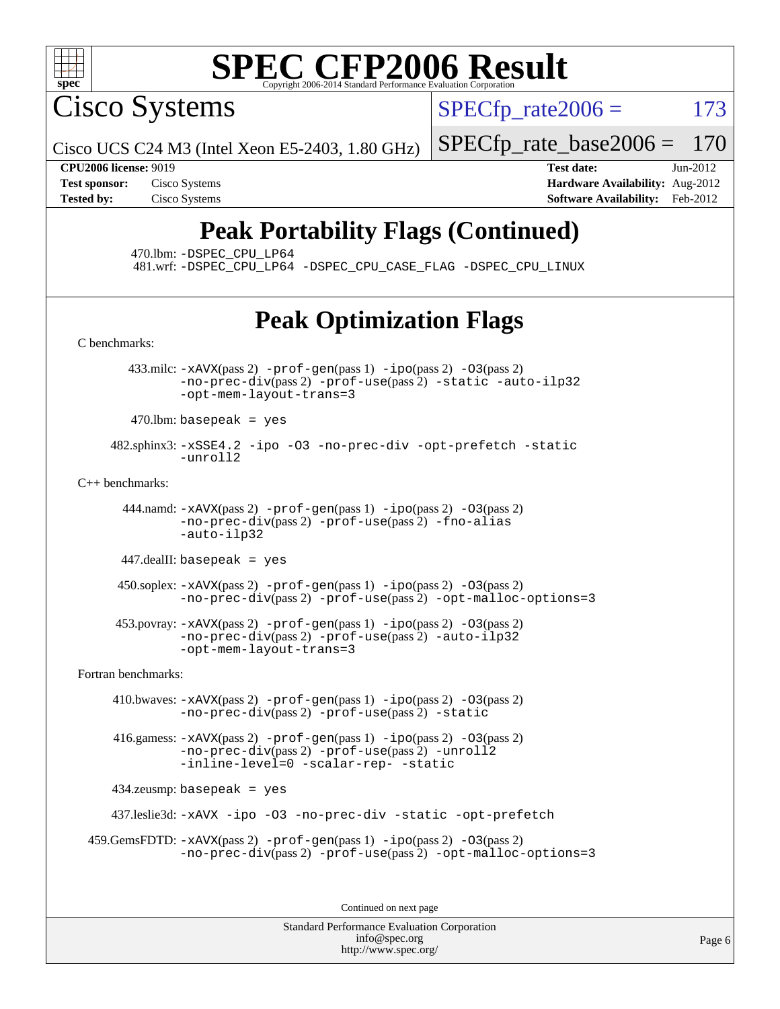

Cisco Systems

 $SPECTp\_rate2006 = 173$ 

Cisco UCS C24 M3 (Intel Xeon E5-2403, 1.80 GHz) [SPECfp\\_rate\\_base2006 =](http://www.spec.org/auto/cpu2006/Docs/result-fields.html#SPECfpratebase2006) 170

**[Tested by:](http://www.spec.org/auto/cpu2006/Docs/result-fields.html#Testedby)** Cisco Systems **[Software Availability:](http://www.spec.org/auto/cpu2006/Docs/result-fields.html#SoftwareAvailability)** Feb-2012

**[CPU2006 license:](http://www.spec.org/auto/cpu2006/Docs/result-fields.html#CPU2006license)** 9019 **[Test date:](http://www.spec.org/auto/cpu2006/Docs/result-fields.html#Testdate)** Jun-2012 **[Test sponsor:](http://www.spec.org/auto/cpu2006/Docs/result-fields.html#Testsponsor)** Cisco Systems **[Hardware Availability:](http://www.spec.org/auto/cpu2006/Docs/result-fields.html#HardwareAvailability)** Aug-2012

## **[Peak Portability Flags \(Continued\)](http://www.spec.org/auto/cpu2006/Docs/result-fields.html#PeakPortabilityFlags)**

470.lbm: [-DSPEC\\_CPU\\_LP64](http://www.spec.org/cpu2006/results/res2012q3/cpu2006-20120702-23330.flags.html#suite_peakPORTABILITY470_lbm_DSPEC_CPU_LP64)

481.wrf: [-DSPEC\\_CPU\\_LP64](http://www.spec.org/cpu2006/results/res2012q3/cpu2006-20120702-23330.flags.html#suite_peakPORTABILITY481_wrf_DSPEC_CPU_LP64) [-DSPEC\\_CPU\\_CASE\\_FLAG](http://www.spec.org/cpu2006/results/res2012q3/cpu2006-20120702-23330.flags.html#b481.wrf_peakCPORTABILITY_DSPEC_CPU_CASE_FLAG) [-DSPEC\\_CPU\\_LINUX](http://www.spec.org/cpu2006/results/res2012q3/cpu2006-20120702-23330.flags.html#b481.wrf_peakCPORTABILITY_DSPEC_CPU_LINUX)

## **[Peak Optimization Flags](http://www.spec.org/auto/cpu2006/Docs/result-fields.html#PeakOptimizationFlags)**

[C benchmarks](http://www.spec.org/auto/cpu2006/Docs/result-fields.html#Cbenchmarks):

433.milc:  $-x$ AVX(pass 2)  $-p$ rof-gen(pass 1)  $-p$ po(pass 2)  $-03$ (pass 2) [-no-prec-div](http://www.spec.org/cpu2006/results/res2012q3/cpu2006-20120702-23330.flags.html#user_peakPASS2_CFLAGSPASS2_LDFLAGS433_milc_f-no-prec-div)(pass 2) [-prof-use](http://www.spec.org/cpu2006/results/res2012q3/cpu2006-20120702-23330.flags.html#user_peakPASS2_CFLAGSPASS2_LDFLAGS433_milc_prof_use_bccf7792157ff70d64e32fe3e1250b55)(pass 2) [-static](http://www.spec.org/cpu2006/results/res2012q3/cpu2006-20120702-23330.flags.html#user_peakOPTIMIZE433_milc_f-static) [-auto-ilp32](http://www.spec.org/cpu2006/results/res2012q3/cpu2006-20120702-23330.flags.html#user_peakCOPTIMIZE433_milc_f-auto-ilp32) [-opt-mem-layout-trans=3](http://www.spec.org/cpu2006/results/res2012q3/cpu2006-20120702-23330.flags.html#user_peakCOPTIMIZE433_milc_f-opt-mem-layout-trans_a7b82ad4bd7abf52556d4961a2ae94d5)  $470$ .lbm: basepeak = yes

 482.sphinx3: [-xSSE4.2](http://www.spec.org/cpu2006/results/res2012q3/cpu2006-20120702-23330.flags.html#user_peakOPTIMIZE482_sphinx3_f-xSSE42_f91528193cf0b216347adb8b939d4107) [-ipo](http://www.spec.org/cpu2006/results/res2012q3/cpu2006-20120702-23330.flags.html#user_peakOPTIMIZE482_sphinx3_f-ipo) [-O3](http://www.spec.org/cpu2006/results/res2012q3/cpu2006-20120702-23330.flags.html#user_peakOPTIMIZE482_sphinx3_f-O3) [-no-prec-div](http://www.spec.org/cpu2006/results/res2012q3/cpu2006-20120702-23330.flags.html#user_peakOPTIMIZE482_sphinx3_f-no-prec-div) [-opt-prefetch](http://www.spec.org/cpu2006/results/res2012q3/cpu2006-20120702-23330.flags.html#user_peakOPTIMIZE482_sphinx3_f-opt-prefetch) [-static](http://www.spec.org/cpu2006/results/res2012q3/cpu2006-20120702-23330.flags.html#user_peakOPTIMIZE482_sphinx3_f-static) [-unroll2](http://www.spec.org/cpu2006/results/res2012q3/cpu2006-20120702-23330.flags.html#user_peakCOPTIMIZE482_sphinx3_f-unroll_784dae83bebfb236979b41d2422d7ec2)

[C++ benchmarks:](http://www.spec.org/auto/cpu2006/Docs/result-fields.html#CXXbenchmarks)

 444.namd: [-xAVX](http://www.spec.org/cpu2006/results/res2012q3/cpu2006-20120702-23330.flags.html#user_peakPASS2_CXXFLAGSPASS2_LDFLAGS444_namd_f-xAVX)(pass 2) [-prof-gen](http://www.spec.org/cpu2006/results/res2012q3/cpu2006-20120702-23330.flags.html#user_peakPASS1_CXXFLAGSPASS1_LDFLAGS444_namd_prof_gen_e43856698f6ca7b7e442dfd80e94a8fc)(pass 1) [-ipo](http://www.spec.org/cpu2006/results/res2012q3/cpu2006-20120702-23330.flags.html#user_peakPASS2_CXXFLAGSPASS2_LDFLAGS444_namd_f-ipo)(pass 2) [-O3](http://www.spec.org/cpu2006/results/res2012q3/cpu2006-20120702-23330.flags.html#user_peakPASS2_CXXFLAGSPASS2_LDFLAGS444_namd_f-O3)(pass 2) [-no-prec-div](http://www.spec.org/cpu2006/results/res2012q3/cpu2006-20120702-23330.flags.html#user_peakPASS2_CXXFLAGSPASS2_LDFLAGS444_namd_f-no-prec-div)(pass 2) [-prof-use](http://www.spec.org/cpu2006/results/res2012q3/cpu2006-20120702-23330.flags.html#user_peakPASS2_CXXFLAGSPASS2_LDFLAGS444_namd_prof_use_bccf7792157ff70d64e32fe3e1250b55)(pass 2) [-fno-alias](http://www.spec.org/cpu2006/results/res2012q3/cpu2006-20120702-23330.flags.html#user_peakCXXOPTIMIZE444_namd_f-no-alias_694e77f6c5a51e658e82ccff53a9e63a) [-auto-ilp32](http://www.spec.org/cpu2006/results/res2012q3/cpu2006-20120702-23330.flags.html#user_peakCXXOPTIMIZE444_namd_f-auto-ilp32)

447.dealII: basepeak = yes

 450.soplex: [-xAVX](http://www.spec.org/cpu2006/results/res2012q3/cpu2006-20120702-23330.flags.html#user_peakPASS2_CXXFLAGSPASS2_LDFLAGS450_soplex_f-xAVX)(pass 2) [-prof-gen](http://www.spec.org/cpu2006/results/res2012q3/cpu2006-20120702-23330.flags.html#user_peakPASS1_CXXFLAGSPASS1_LDFLAGS450_soplex_prof_gen_e43856698f6ca7b7e442dfd80e94a8fc)(pass 1) [-ipo](http://www.spec.org/cpu2006/results/res2012q3/cpu2006-20120702-23330.flags.html#user_peakPASS2_CXXFLAGSPASS2_LDFLAGS450_soplex_f-ipo)(pass 2) [-O3](http://www.spec.org/cpu2006/results/res2012q3/cpu2006-20120702-23330.flags.html#user_peakPASS2_CXXFLAGSPASS2_LDFLAGS450_soplex_f-O3)(pass 2) [-no-prec-div](http://www.spec.org/cpu2006/results/res2012q3/cpu2006-20120702-23330.flags.html#user_peakPASS2_CXXFLAGSPASS2_LDFLAGS450_soplex_f-no-prec-div)(pass 2) [-prof-use](http://www.spec.org/cpu2006/results/res2012q3/cpu2006-20120702-23330.flags.html#user_peakPASS2_CXXFLAGSPASS2_LDFLAGS450_soplex_prof_use_bccf7792157ff70d64e32fe3e1250b55)(pass 2) [-opt-malloc-options=3](http://www.spec.org/cpu2006/results/res2012q3/cpu2006-20120702-23330.flags.html#user_peakOPTIMIZE450_soplex_f-opt-malloc-options_13ab9b803cf986b4ee62f0a5998c2238)

 453.povray: [-xAVX](http://www.spec.org/cpu2006/results/res2012q3/cpu2006-20120702-23330.flags.html#user_peakPASS2_CXXFLAGSPASS2_LDFLAGS453_povray_f-xAVX)(pass 2) [-prof-gen](http://www.spec.org/cpu2006/results/res2012q3/cpu2006-20120702-23330.flags.html#user_peakPASS1_CXXFLAGSPASS1_LDFLAGS453_povray_prof_gen_e43856698f6ca7b7e442dfd80e94a8fc)(pass 1) [-ipo](http://www.spec.org/cpu2006/results/res2012q3/cpu2006-20120702-23330.flags.html#user_peakPASS2_CXXFLAGSPASS2_LDFLAGS453_povray_f-ipo)(pass 2) [-O3](http://www.spec.org/cpu2006/results/res2012q3/cpu2006-20120702-23330.flags.html#user_peakPASS2_CXXFLAGSPASS2_LDFLAGS453_povray_f-O3)(pass 2) [-no-prec-div](http://www.spec.org/cpu2006/results/res2012q3/cpu2006-20120702-23330.flags.html#user_peakPASS2_CXXFLAGSPASS2_LDFLAGS453_povray_f-no-prec-div)(pass 2) [-prof-use](http://www.spec.org/cpu2006/results/res2012q3/cpu2006-20120702-23330.flags.html#user_peakPASS2_CXXFLAGSPASS2_LDFLAGS453_povray_prof_use_bccf7792157ff70d64e32fe3e1250b55)(pass 2) [-auto-ilp32](http://www.spec.org/cpu2006/results/res2012q3/cpu2006-20120702-23330.flags.html#user_peakCXXOPTIMIZE453_povray_f-auto-ilp32) [-opt-mem-layout-trans=3](http://www.spec.org/cpu2006/results/res2012q3/cpu2006-20120702-23330.flags.html#user_peakCXXOPTIMIZE453_povray_f-opt-mem-layout-trans_a7b82ad4bd7abf52556d4961a2ae94d5)

[Fortran benchmarks](http://www.spec.org/auto/cpu2006/Docs/result-fields.html#Fortranbenchmarks):

 410.bwaves: [-xAVX](http://www.spec.org/cpu2006/results/res2012q3/cpu2006-20120702-23330.flags.html#user_peakPASS2_FFLAGSPASS2_LDFLAGS410_bwaves_f-xAVX)(pass 2) [-prof-gen](http://www.spec.org/cpu2006/results/res2012q3/cpu2006-20120702-23330.flags.html#user_peakPASS1_FFLAGSPASS1_LDFLAGS410_bwaves_prof_gen_e43856698f6ca7b7e442dfd80e94a8fc)(pass 1) [-ipo](http://www.spec.org/cpu2006/results/res2012q3/cpu2006-20120702-23330.flags.html#user_peakPASS2_FFLAGSPASS2_LDFLAGS410_bwaves_f-ipo)(pass 2) [-O3](http://www.spec.org/cpu2006/results/res2012q3/cpu2006-20120702-23330.flags.html#user_peakPASS2_FFLAGSPASS2_LDFLAGS410_bwaves_f-O3)(pass 2) [-no-prec-div](http://www.spec.org/cpu2006/results/res2012q3/cpu2006-20120702-23330.flags.html#user_peakPASS2_FFLAGSPASS2_LDFLAGS410_bwaves_f-no-prec-div)(pass 2) [-prof-use](http://www.spec.org/cpu2006/results/res2012q3/cpu2006-20120702-23330.flags.html#user_peakPASS2_FFLAGSPASS2_LDFLAGS410_bwaves_prof_use_bccf7792157ff70d64e32fe3e1250b55)(pass 2) [-static](http://www.spec.org/cpu2006/results/res2012q3/cpu2006-20120702-23330.flags.html#user_peakOPTIMIZE410_bwaves_f-static)

 416.gamess: [-xAVX](http://www.spec.org/cpu2006/results/res2012q3/cpu2006-20120702-23330.flags.html#user_peakPASS2_FFLAGSPASS2_LDFLAGS416_gamess_f-xAVX)(pass 2) [-prof-gen](http://www.spec.org/cpu2006/results/res2012q3/cpu2006-20120702-23330.flags.html#user_peakPASS1_FFLAGSPASS1_LDFLAGS416_gamess_prof_gen_e43856698f6ca7b7e442dfd80e94a8fc)(pass 1) [-ipo](http://www.spec.org/cpu2006/results/res2012q3/cpu2006-20120702-23330.flags.html#user_peakPASS2_FFLAGSPASS2_LDFLAGS416_gamess_f-ipo)(pass 2) [-O3](http://www.spec.org/cpu2006/results/res2012q3/cpu2006-20120702-23330.flags.html#user_peakPASS2_FFLAGSPASS2_LDFLAGS416_gamess_f-O3)(pass 2)  $-$ no-prec-div $(pass 2)$  [-prof-use](http://www.spec.org/cpu2006/results/res2012q3/cpu2006-20120702-23330.flags.html#user_peakPASS2_FFLAGSPASS2_LDFLAGS416_gamess_prof_use_bccf7792157ff70d64e32fe3e1250b55) $(pass 2)$  [-unroll2](http://www.spec.org/cpu2006/results/res2012q3/cpu2006-20120702-23330.flags.html#user_peakOPTIMIZE416_gamess_f-unroll_784dae83bebfb236979b41d2422d7ec2) [-inline-level=0](http://www.spec.org/cpu2006/results/res2012q3/cpu2006-20120702-23330.flags.html#user_peakOPTIMIZE416_gamess_f-inline-level_318d07a09274ad25e8d15dbfaa68ba50) [-scalar-rep-](http://www.spec.org/cpu2006/results/res2012q3/cpu2006-20120702-23330.flags.html#user_peakOPTIMIZE416_gamess_f-disablescalarrep_abbcad04450fb118e4809c81d83c8a1d) [-static](http://www.spec.org/cpu2006/results/res2012q3/cpu2006-20120702-23330.flags.html#user_peakOPTIMIZE416_gamess_f-static)

434.zeusmp: basepeak = yes

437.leslie3d: [-xAVX](http://www.spec.org/cpu2006/results/res2012q3/cpu2006-20120702-23330.flags.html#user_peakOPTIMIZE437_leslie3d_f-xAVX) [-ipo](http://www.spec.org/cpu2006/results/res2012q3/cpu2006-20120702-23330.flags.html#user_peakOPTIMIZE437_leslie3d_f-ipo) [-O3](http://www.spec.org/cpu2006/results/res2012q3/cpu2006-20120702-23330.flags.html#user_peakOPTIMIZE437_leslie3d_f-O3) [-no-prec-div](http://www.spec.org/cpu2006/results/res2012q3/cpu2006-20120702-23330.flags.html#user_peakOPTIMIZE437_leslie3d_f-no-prec-div) [-static](http://www.spec.org/cpu2006/results/res2012q3/cpu2006-20120702-23330.flags.html#user_peakOPTIMIZE437_leslie3d_f-static) [-opt-prefetch](http://www.spec.org/cpu2006/results/res2012q3/cpu2006-20120702-23330.flags.html#user_peakOPTIMIZE437_leslie3d_f-opt-prefetch)

```
 459.GemsFDTD: -xAVX(pass 2) -prof-gen(pass 1) -ipo(pass 2) -O3(pass 2)
              -no-prec-div(pass 2) -prof-use(pass 2) -opt-malloc-options=3
```
Continued on next page